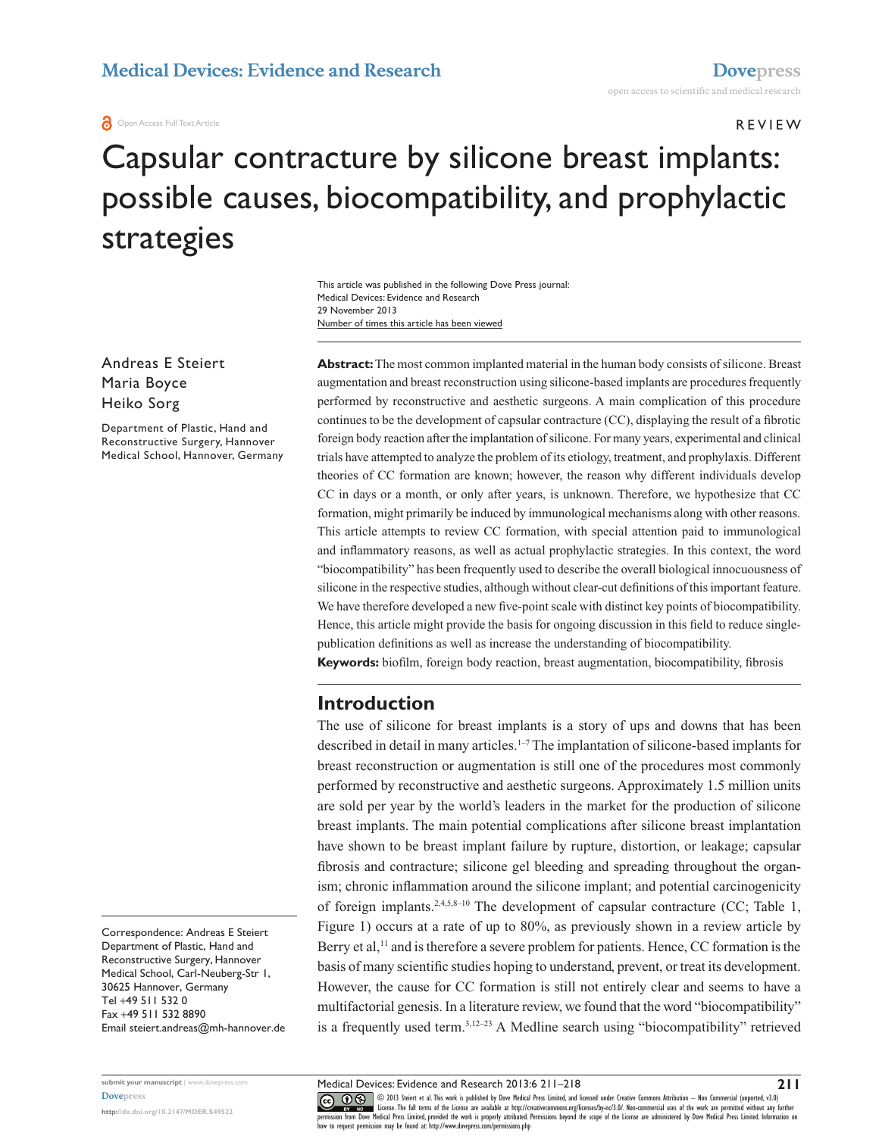**REVIEW** 

# Capsular contracture by silicone breast implants: possible causes, biocompatibility, and prophylactic strategies

Number of times this article has been viewed This article was published in the following Dove Press journal: Medical Devices: Evidence and Research 29 November 2013

Andreas E Steiert Maria Boyce Heiko Sorg

Department of Plastic, Hand and Reconstructive Surgery, Hannover Medical School, Hannover, Germany **Abstract:** The most common implanted material in the human body consists of silicone. Breast augmentation and breast reconstruction using silicone-based implants are procedures frequently performed by reconstructive and aesthetic surgeons. A main complication of this procedure continues to be the development of capsular contracture (CC), displaying the result of a fibrotic foreign body reaction after the implantation of silicone. For many years, experimental and clinical trials have attempted to analyze the problem of its etiology, treatment, and prophylaxis. Different theories of CC formation are known; however, the reason why different individuals develop CC in days or a month, or only after years, is unknown. Therefore, we hypothesize that CC formation, might primarily be induced by immunological mechanisms along with other reasons. This article attempts to review CC formation, with special attention paid to immunological and inflammatory reasons, as well as actual prophylactic strategies. In this context, the word "biocompatibility" has been frequently used to describe the overall biological innocuousness of silicone in the respective studies, although without clear-cut definitions of this important feature. We have therefore developed a new five-point scale with distinct key points of biocompatibility. Hence, this article might provide the basis for ongoing discussion in this field to reduce singlepublication definitions as well as increase the understanding of biocompatibility.

**Keywords:** biofilm, foreign body reaction, breast augmentation, biocompatibility, fibrosis

## **Introduction**

The use of silicone for breast implants is a story of ups and downs that has been described in detail in many articles.1–7 The implantation of silicone-based implants for breast reconstruction or augmentation is still one of the procedures most commonly performed by reconstructive and aesthetic surgeons. Approximately 1.5 million units are sold per year by the world's leaders in the market for the production of silicone breast implants. The main potential complications after silicone breast implantation have shown to be breast implant failure by rupture, distortion, or leakage; capsular fibrosis and contracture; silicone gel bleeding and spreading throughout the organism; chronic inflammation around the silicone implant; and potential carcinogenicity of foreign implants.2,4,5,8–10 The development of capsular contracture (CC; Table 1, Figure 1) occurs at a rate of up to 80%, as previously shown in a review article by Berry et al,<sup>11</sup> and is therefore a severe problem for patients. Hence, CC formation is the basis of many scientific studies hoping to understand, prevent, or treat its development. However, the cause for CC formation is still not entirely clear and seems to have a multifactorial genesis. In a literature review, we found that the word "biocompatibility" is a frequently used term.3,12–23 A Medline search using "biocompatibility" retrieved

Correspondence: Andreas E Steiert Department of Plastic, Hand and Reconstructive Surgery, Hannover Medical School, Carl-Neuberg-Str 1, 30625 Hannover, Germany Tel +49 511 532 0 Fax +49 511 532 8890 Email [steiert.andreas@mh-hannover.de](mailto:steiert.andreas@mh-hannover.de)

Medical Devices: Evidence and Research 2013:6 211–218

CO ODI3 Steiert et al. This work is published by Dove Medical Press Limited, and licensed under Creative Commons Attribution - Non Commercial (unported, v3.0)<br> [permission from Dove M](http://www.dovepress.com/permissions.php)edical Press Limited, provided the work how to request permission may be found at: http://www.dovepress.com/permissions.php

**submit your manuscript** | <www.dovepress.com> **[Dovepress](www.dovepress.com)**

**<http://dx.doi.org/10.2147/MDER.S49522>**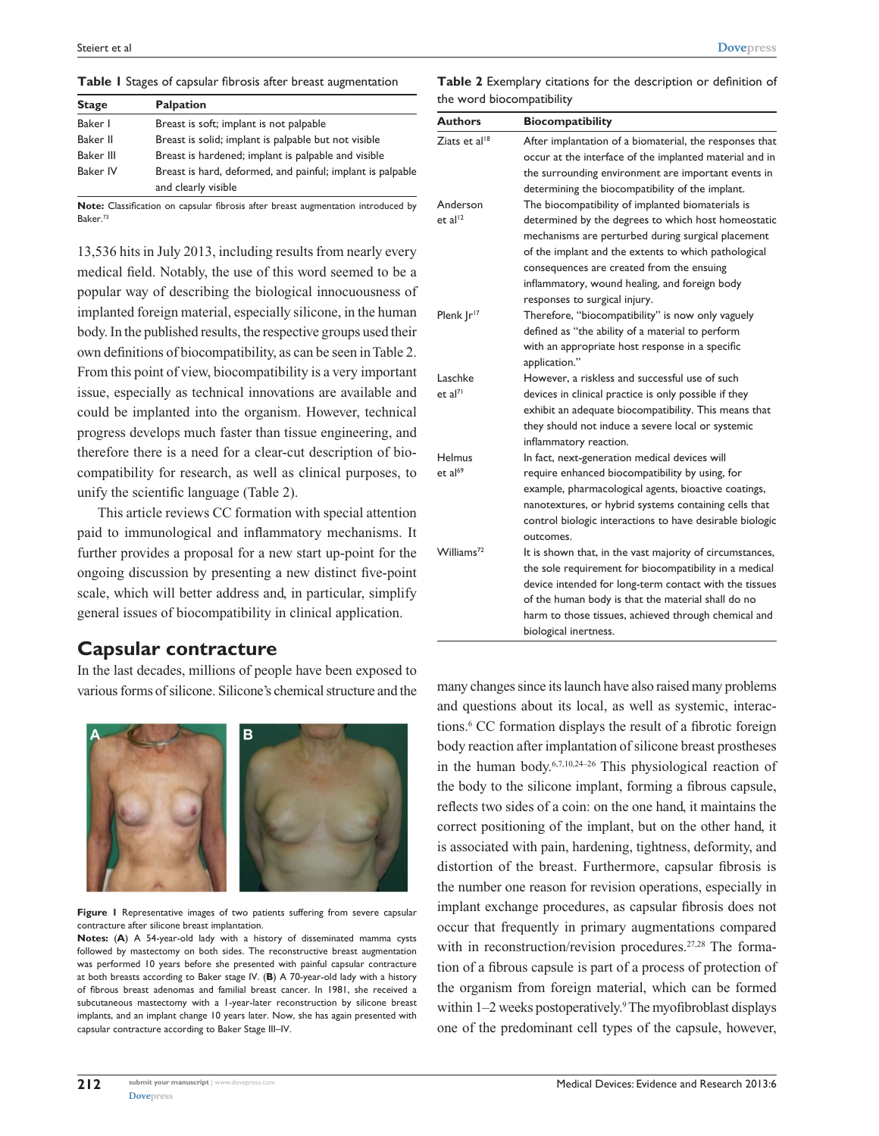**Table 1** Stages of capsular fibrosis after breast augmentation

| <b>Stage</b>     | <b>Palpation</b>                                                                  |  |
|------------------|-----------------------------------------------------------------------------------|--|
| Baker I          | Breast is soft; implant is not palpable                                           |  |
| Baker II         | Breast is solid; implant is palpable but not visible                              |  |
| <b>Baker III</b> | Breast is hardened; implant is palpable and visible                               |  |
| <b>Baker IV</b>  | Breast is hard, deformed, and painful; implant is palpable<br>and clearly visible |  |

**Note:** Classification on capsular fibrosis after breast augmentation introduced by Baker.73

13,536 hits in July 2013, including results from nearly every medical field. Notably, the use of this word seemed to be a popular way of describing the biological innocuousness of implanted foreign material, especially silicone, in the human body. In the published results, the respective groups used their own definitions of biocompatibility, as can be seen in Table 2. From this point of view, biocompatibility is a very important issue, especially as technical innovations are available and could be implanted into the organism. However, technical progress develops much faster than tissue engineering, and therefore there is a need for a clear-cut description of biocompatibility for research, as well as clinical purposes, to unify the scientific language (Table 2).

This article reviews CC formation with special attention paid to immunological and inflammatory mechanisms. It further provides a proposal for a new start up-point for the ongoing discussion by presenting a new distinct five-point scale, which will better address and, in particular, simplify general issues of biocompatibility in clinical application.

#### **Capsular contracture**

In the last decades, millions of people have been exposed to various forms of silicone. Silicone's chemical structure and the many changes since its launch have also raised many problems



**Figure 1** Representative images of two patients suffering from severe capsular contracture after silicone breast implantation.

**Notes:** (**A**) A 54-year-old lady with a history of disseminated mamma cysts followed by mastectomy on both sides. The reconstructive breast augmentation was performed 10 years before she presented with painful capsular contracture at both breasts according to Baker stage IV. (**B**) A 70-year-old lady with a history of fibrous breast adenomas and familial breast cancer. In 1981, she received a subcutaneous mastectomy with a 1-year-later reconstruction by silicone breast implants, and an implant change 10 years later. Now, she has again presented with capsular contracture according to Baker Stage III–IV.

**Table 2** Exemplary citations for the description or definition of the word biocompatibility

| <b>Authors</b>            | <b>Biocompatibility</b>                                                                                                                                                                                                       |
|---------------------------|-------------------------------------------------------------------------------------------------------------------------------------------------------------------------------------------------------------------------------|
| Ziats et al <sup>18</sup> | After implantation of a biomaterial, the responses that<br>occur at the interface of the implanted material and in<br>the surrounding environment are important events in<br>determining the biocompatibility of the implant. |
| Anderson                  | The biocompatibility of implanted biomaterials is                                                                                                                                                                             |
| $et$ al <sup>12</sup>     | determined by the degrees to which host homeostatic<br>mechanisms are perturbed during surgical placement<br>of the implant and the extents to which pathological<br>consequences are created from the ensuing                |
|                           | inflammatory, wound healing, and foreign body                                                                                                                                                                                 |
|                           | responses to surgical injury.                                                                                                                                                                                                 |
| Plenk  r <sup>17</sup>    | Therefore, "biocompatibility" is now only vaguely                                                                                                                                                                             |
|                           | defined as "the ability of a material to perform                                                                                                                                                                              |
|                           | with an appropriate host response in a specific<br>application."                                                                                                                                                              |
| Laschke                   | However, a riskless and successful use of such                                                                                                                                                                                |
| et al <sup>71</sup>       | devices in clinical practice is only possible if they                                                                                                                                                                         |
|                           | exhibit an adequate biocompatibility. This means that                                                                                                                                                                         |
|                           | they should not induce a severe local or systemic<br>inflammatory reaction.                                                                                                                                                   |
| Helmus                    | In fact, next-generation medical devices will                                                                                                                                                                                 |
| $et$ al <sup>69</sup>     | require enhanced biocompatibility by using, for                                                                                                                                                                               |
|                           | example, pharmacological agents, bioactive coatings,                                                                                                                                                                          |
|                           | nanotextures, or hybrid systems containing cells that<br>control biologic interactions to have desirable biologic                                                                                                             |
| Williams <sup>72</sup>    | outcomes.<br>It is shown that, in the vast majority of circumstances,                                                                                                                                                         |
|                           | the sole requirement for biocompatibility in a medical                                                                                                                                                                        |
|                           | device intended for long-term contact with the tissues                                                                                                                                                                        |
|                           | of the human body is that the material shall do no                                                                                                                                                                            |
|                           | harm to those tissues, achieved through chemical and                                                                                                                                                                          |
|                           | biological inertness.                                                                                                                                                                                                         |

and questions about its local, as well as systemic, interactions.6 CC formation displays the result of a fibrotic foreign body reaction after implantation of silicone breast prostheses in the human body. $6,7,10,24-26$  This physiological reaction of the body to the silicone implant, forming a fibrous capsule, reflects two sides of a coin: on the one hand, it maintains the correct positioning of the implant, but on the other hand, it is associated with pain, hardening, tightness, deformity, and distortion of the breast. Furthermore, capsular fibrosis is the number one reason for revision operations, especially in implant exchange procedures, as capsular fibrosis does not occur that frequently in primary augmentations compared with in reconstruction/revision procedures.<sup>27,28</sup> The formation of a fibrous capsule is part of a process of protection of the organism from foreign material, which can be formed within 1–2 weeks postoperatively.<sup>9</sup> The myofibroblast displays one of the predominant cell types of the capsule, however,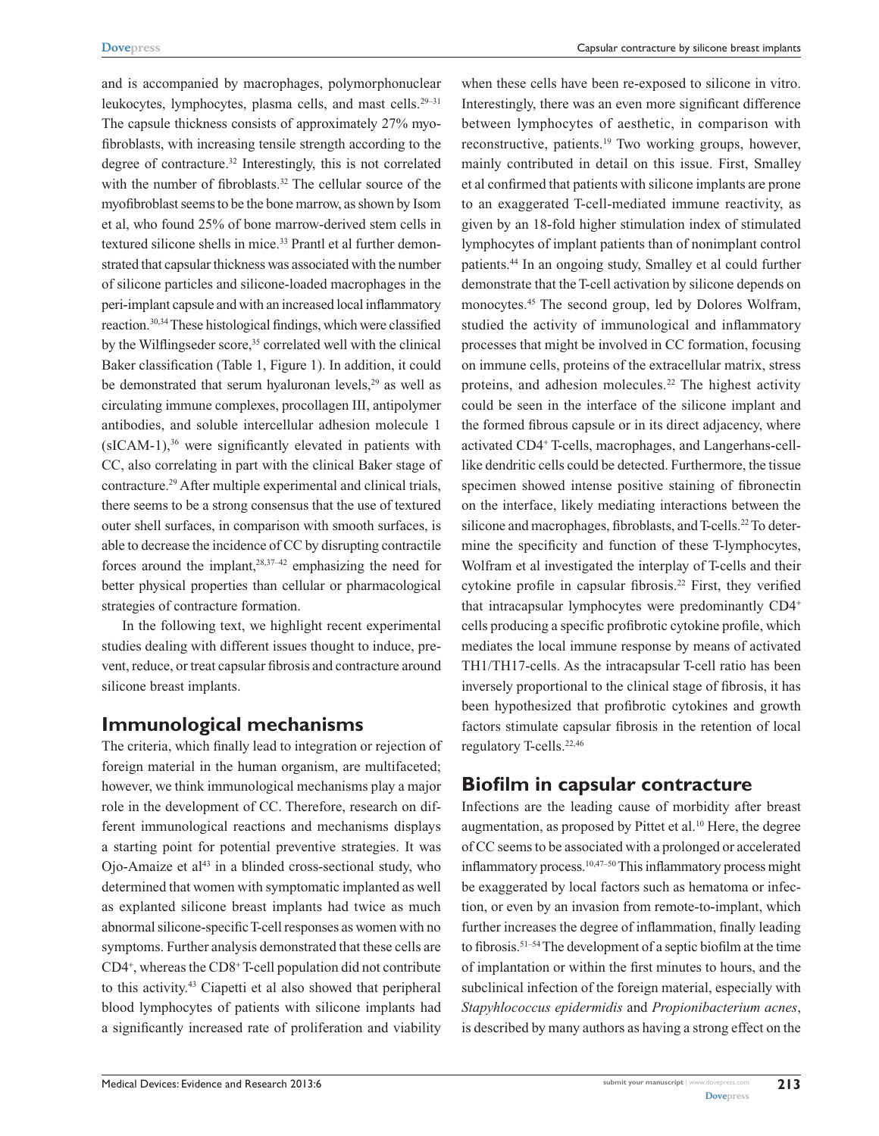and is accompanied by macrophages, polymorphonuclear leukocytes, lymphocytes, plasma cells, and mast cells.29–31 The capsule thickness consists of approximately 27% myofibroblasts, with increasing tensile strength according to the degree of contracture.<sup>32</sup> Interestingly, this is not correlated with the number of fibroblasts.<sup>32</sup> The cellular source of the myofibroblast seems to be the bone marrow, as shown by Isom et al, who found 25% of bone marrow-derived stem cells in textured silicone shells in mice.<sup>33</sup> Prantl et al further demonstrated that capsular thickness was associated with the number of silicone particles and silicone-loaded macrophages in the peri-implant capsule and with an increased local inflammatory reaction.30,34 These histological findings, which were classified by the Wilflingseder score,<sup>35</sup> correlated well with the clinical Baker classification (Table 1, Figure 1). In addition, it could be demonstrated that serum hyaluronan levels, $29$  as well as circulating immune complexes, procollagen III, antipolymer antibodies, and soluble intercellular adhesion molecule 1  $(sICAM-1)$ ,<sup>36</sup> were significantly elevated in patients with CC, also correlating in part with the clinical Baker stage of contracture.29 After multiple experimental and clinical trials, there seems to be a strong consensus that the use of textured outer shell surfaces, in comparison with smooth surfaces, is able to decrease the incidence of CC by disrupting contractile forces around the implant, $28,37-42$  emphasizing the need for better physical properties than cellular or pharmacological strategies of contracture formation.

In the following text, we highlight recent experimental studies dealing with different issues thought to induce, prevent, reduce, or treat capsular fibrosis and contracture around silicone breast implants.

## **Immunological mechanisms**

The criteria, which finally lead to integration or rejection of foreign material in the human organism, are multifaceted; however, we think immunological mechanisms play a major role in the development of CC. Therefore, research on different immunological reactions and mechanisms displays a starting point for potential preventive strategies. It was Ojo-Amaize et  $al<sup>43</sup>$  in a blinded cross-sectional study, who determined that women with symptomatic implanted as well as explanted silicone breast implants had twice as much abnormal silicone-specific T-cell responses as women with no symptoms. Further analysis demonstrated that these cells are CD4<sup>+</sup> , whereas the CD8<sup>+</sup> T-cell population did not contribute to this activity.43 Ciapetti et al also showed that peripheral blood lymphocytes of patients with silicone implants had a significantly increased rate of proliferation and viability

when these cells have been re-exposed to silicone in vitro. Interestingly, there was an even more significant difference between lymphocytes of aesthetic, in comparison with reconstructive, patients.19 Two working groups, however, mainly contributed in detail on this issue. First, Smalley et al confirmed that patients with silicone implants are prone to an exaggerated T-cell-mediated immune reactivity, as given by an 18-fold higher stimulation index of stimulated lymphocytes of implant patients than of nonimplant control patients.44 In an ongoing study, Smalley et al could further demonstrate that the T-cell activation by silicone depends on monocytes.45 The second group, led by Dolores Wolfram, studied the activity of immunological and inflammatory processes that might be involved in CC formation, focusing on immune cells, proteins of the extracellular matrix, stress proteins, and adhesion molecules.<sup>22</sup> The highest activity could be seen in the interface of the silicone implant and the formed fibrous capsule or in its direct adjacency, where activated CD4<sup>+</sup> T-cells, macrophages, and Langerhans-celllike dendritic cells could be detected. Furthermore, the tissue specimen showed intense positive staining of fibronectin on the interface, likely mediating interactions between the silicone and macrophages, fibroblasts, and T-cells.<sup>22</sup> To determine the specificity and function of these T-lymphocytes, Wolfram et al investigated the interplay of T-cells and their cytokine profile in capsular fibrosis.<sup>22</sup> First, they verified that intracapsular lymphocytes were predominantly CD4<sup>+</sup> cells producing a specific profibrotic cytokine profile, which mediates the local immune response by means of activated TH1/TH17-cells. As the intracapsular T-cell ratio has been inversely proportional to the clinical stage of fibrosis, it has been hypothesized that profibrotic cytokines and growth factors stimulate capsular fibrosis in the retention of local regulatory T-cells.<sup>22,46</sup>

# **Biofilm in capsular contracture**

Infections are the leading cause of morbidity after breast augmentation, as proposed by Pittet et al.<sup>10</sup> Here, the degree of CC seems to be associated with a prolonged or accelerated inflammatory process.10,47–50 This inflammatory process might be exaggerated by local factors such as hematoma or infection, or even by an invasion from remote-to-implant, which further increases the degree of inflammation, finally leading to fibrosis.<sup>51-54</sup> The development of a septic biofilm at the time of implantation or within the first minutes to hours, and the subclinical infection of the foreign material, especially with *Stapyhlococcus epidermidis* and *Propionibacterium acnes*, is described by many authors as having a strong effect on the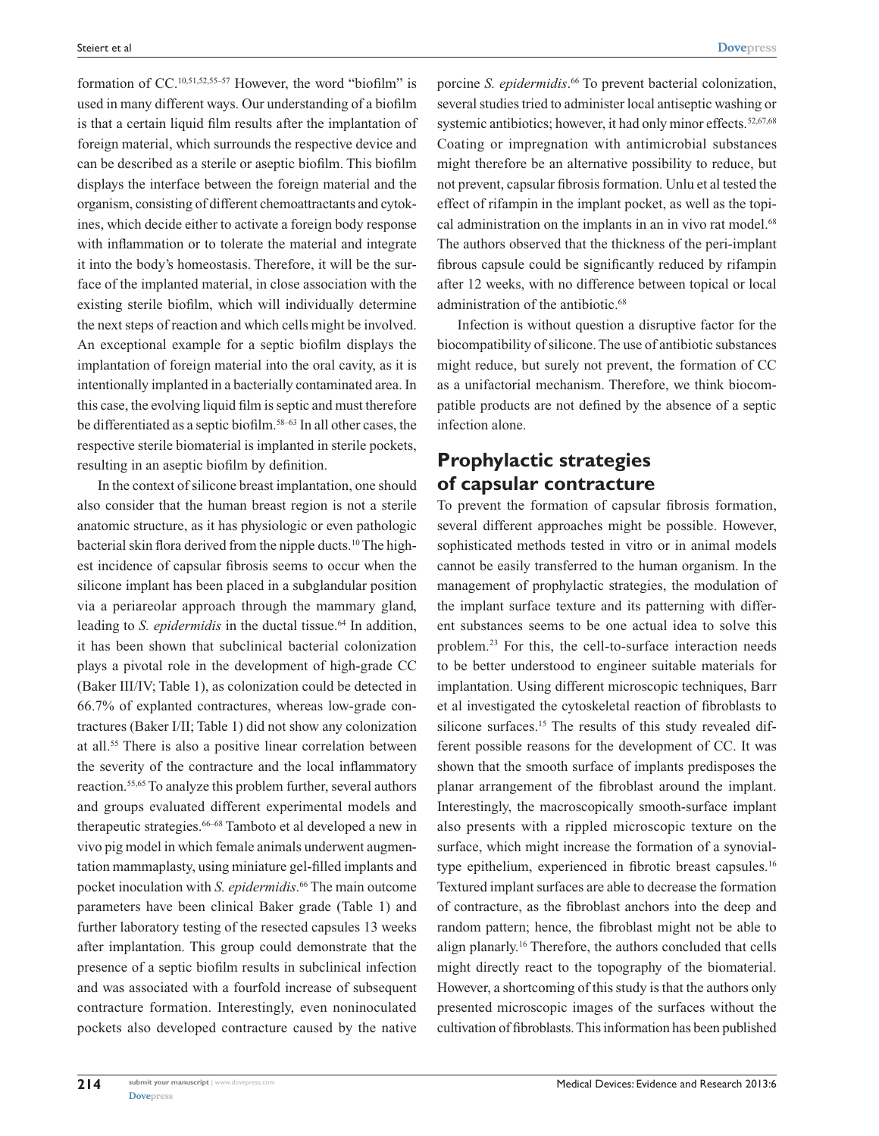formation of CC.10,51,52,55–57 However, the word "biofilm" is used in many different ways. Our understanding of a biofilm is that a certain liquid film results after the implantation of foreign material, which surrounds the respective device and can be described as a sterile or aseptic biofilm. This biofilm displays the interface between the foreign material and the organism, consisting of different chemoattractants and cytokines, which decide either to activate a foreign body response with inflammation or to tolerate the material and integrate it into the body's homeostasis. Therefore, it will be the surface of the implanted material, in close association with the existing sterile biofilm, which will individually determine the next steps of reaction and which cells might be involved. An exceptional example for a septic biofilm displays the implantation of foreign material into the oral cavity, as it is intentionally implanted in a bacterially contaminated area. In this case, the evolving liquid film is septic and must therefore be differentiated as a septic biofilm.<sup>58-63</sup> In all other cases, the respective sterile biomaterial is implanted in sterile pockets, resulting in an aseptic biofilm by definition.

In the context of silicone breast implantation, one should also consider that the human breast region is not a sterile anatomic structure, as it has physiologic or even pathologic bacterial skin flora derived from the nipple ducts.<sup>10</sup> The highest incidence of capsular fibrosis seems to occur when the silicone implant has been placed in a subglandular position via a periareolar approach through the mammary gland, leading to *S. epidermidis* in the ductal tissue.<sup>64</sup> In addition, it has been shown that subclinical bacterial colonization plays a pivotal role in the development of high-grade CC (Baker III/IV; Table 1), as colonization could be detected in 66.7% of explanted contractures, whereas low-grade contractures (Baker I/II; Table 1) did not show any colonization at all.55 There is also a positive linear correlation between the severity of the contracture and the local inflammatory reaction.55,65 To analyze this problem further, several authors and groups evaluated different experimental models and therapeutic strategies.<sup>66–68</sup> Tamboto et al developed a new in vivo pig model in which female animals underwent augmentation mammaplasty, using miniature gel-filled implants and pocket inoculation with *S. epidermidis*. 66 The main outcome parameters have been clinical Baker grade (Table 1) and further laboratory testing of the resected capsules 13 weeks after implantation. This group could demonstrate that the presence of a septic biofilm results in subclinical infection and was associated with a fourfold increase of subsequent contracture formation. Interestingly, even noninoculated pockets also developed contracture caused by the native

porcine *S. epidermidis*. 66 To prevent bacterial colonization, several studies tried to administer local antiseptic washing or systemic antibiotics; however, it had only minor effects.<sup>52,67,68</sup> Coating or impregnation with antimicrobial substances might therefore be an alternative possibility to reduce, but not prevent, capsular fibrosis formation. Unlu et al tested the effect of rifampin in the implant pocket, as well as the topical administration on the implants in an in vivo rat model.<sup>68</sup> The authors observed that the thickness of the peri-implant fibrous capsule could be significantly reduced by rifampin after 12 weeks, with no difference between topical or local administration of the antibiotic.<sup>68</sup>

Infection is without question a disruptive factor for the biocompatibility of silicone. The use of antibiotic substances might reduce, but surely not prevent, the formation of CC as a unifactorial mechanism. Therefore, we think biocompatible products are not defined by the absence of a septic infection alone.

# **Prophylactic strategies of capsular contracture**

To prevent the formation of capsular fibrosis formation, several different approaches might be possible. However, sophisticated methods tested in vitro or in animal models cannot be easily transferred to the human organism. In the management of prophylactic strategies, the modulation of the implant surface texture and its patterning with different substances seems to be one actual idea to solve this problem.23 For this, the cell-to-surface interaction needs to be better understood to engineer suitable materials for implantation. Using different microscopic techniques, Barr et al investigated the cytoskeletal reaction of fibroblasts to silicone surfaces.<sup>15</sup> The results of this study revealed different possible reasons for the development of CC. It was shown that the smooth surface of implants predisposes the planar arrangement of the fibroblast around the implant. Interestingly, the macroscopically smooth-surface implant also presents with a rippled microscopic texture on the surface, which might increase the formation of a synovialtype epithelium, experienced in fibrotic breast capsules.<sup>16</sup> Textured implant surfaces are able to decrease the formation of contracture, as the fibroblast anchors into the deep and random pattern; hence, the fibroblast might not be able to align planarly.16 Therefore, the authors concluded that cells might directly react to the topography of the biomaterial. However, a shortcoming of this study is that the authors only presented microscopic images of the surfaces without the cultivation of fibroblasts. This information has been published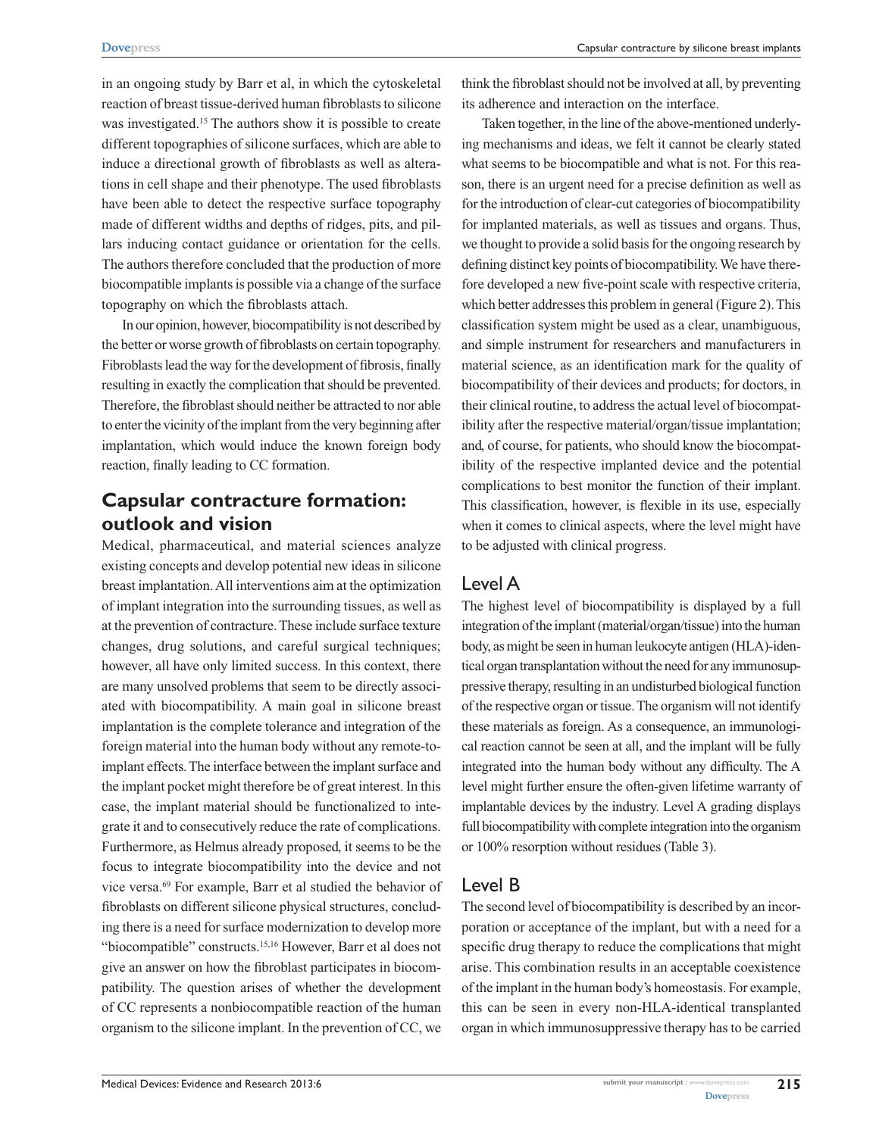in an ongoing study by Barr et al, in which the cytoskeletal reaction of breast tissue-derived human fibroblasts to silicone was investigated.<sup>15</sup> The authors show it is possible to create different topographies of silicone surfaces, which are able to induce a directional growth of fibroblasts as well as alterations in cell shape and their phenotype. The used fibroblasts have been able to detect the respective surface topography made of different widths and depths of ridges, pits, and pillars inducing contact guidance or orientation for the cells. The authors therefore concluded that the production of more biocompatible implants is possible via a change of the surface topography on which the fibroblasts attach.

In our opinion, however, biocompatibility is not described by the better or worse growth of fibroblasts on certain topography. Fibroblasts lead the way for the development of fibrosis, finally resulting in exactly the complication that should be prevented. Therefore, the fibroblast should neither be attracted to nor able to enter the vicinity of the implant from the very beginning after implantation, which would induce the known foreign body reaction, finally leading to CC formation.

# **Capsular contracture formation: outlook and vision**

Medical, pharmaceutical, and material sciences analyze existing concepts and develop potential new ideas in silicone breast implantation. All interventions aim at the optimization of implant integration into the surrounding tissues, as well as at the prevention of contracture. These include surface texture changes, drug solutions, and careful surgical techniques; however, all have only limited success. In this context, there are many unsolved problems that seem to be directly associated with biocompatibility. A main goal in silicone breast implantation is the complete tolerance and integration of the foreign material into the human body without any remote-toimplant effects. The interface between the implant surface and the implant pocket might therefore be of great interest. In this case, the implant material should be functionalized to integrate it and to consecutively reduce the rate of complications. Furthermore, as Helmus already proposed, it seems to be the focus to integrate biocompatibility into the device and not vice versa.69 For example, Barr et al studied the behavior of fibroblasts on different silicone physical structures, concluding there is a need for surface modernization to develop more "biocompatible" constructs.<sup>15,16</sup> However, Barr et al does not give an answer on how the fibroblast participates in biocompatibility. The question arises of whether the development of CC represents a nonbiocompatible reaction of the human organism to the silicone implant. In the prevention of CC, we

think the fibroblast should not be involved at all, by preventing its adherence and interaction on the interface.

Taken together, in the line of the above-mentioned underlying mechanisms and ideas, we felt it cannot be clearly stated what seems to be biocompatible and what is not. For this reason, there is an urgent need for a precise definition as well as for the introduction of clear-cut categories of biocompatibility for implanted materials, as well as tissues and organs. Thus, we thought to provide a solid basis for the ongoing research by defining distinct key points of biocompatibility. We have therefore developed a new five-point scale with respective criteria, which better addresses this problem in general (Figure 2). This classification system might be used as a clear, unambiguous, and simple instrument for researchers and manufacturers in material science, as an identification mark for the quality of biocompatibility of their devices and products; for doctors, in their clinical routine, to address the actual level of biocompatibility after the respective material/organ/tissue implantation; and, of course, for patients, who should know the biocompatibility of the respective implanted device and the potential complications to best monitor the function of their implant. This classification, however, is flexible in its use, especially when it comes to clinical aspects, where the level might have to be adjusted with clinical progress.

## Level A

The highest level of biocompatibility is displayed by a full integration of the implant (material/organ/tissue) into the human body, as might be seen in human leukocyte antigen (HLA)-identical organ transplantation without the need for any immunosuppressive therapy, resulting in an undisturbed biological function of the respective organ or tissue. The organism will not identify these materials as foreign. As a consequence, an immunological reaction cannot be seen at all, and the implant will be fully integrated into the human body without any difficulty. The A level might further ensure the often-given lifetime warranty of implantable devices by the industry. Level A grading displays full biocompatibility with complete integration into the organism or 100% resorption without residues (Table 3).

## Level B

The second level of biocompatibility is described by an incorporation or acceptance of the implant, but with a need for a specific drug therapy to reduce the complications that might arise. This combination results in an acceptable coexistence of the implant in the human body's homeostasis. For example, this can be seen in every non-HLA-identical transplanted organ in which immunosuppressive therapy has to be carried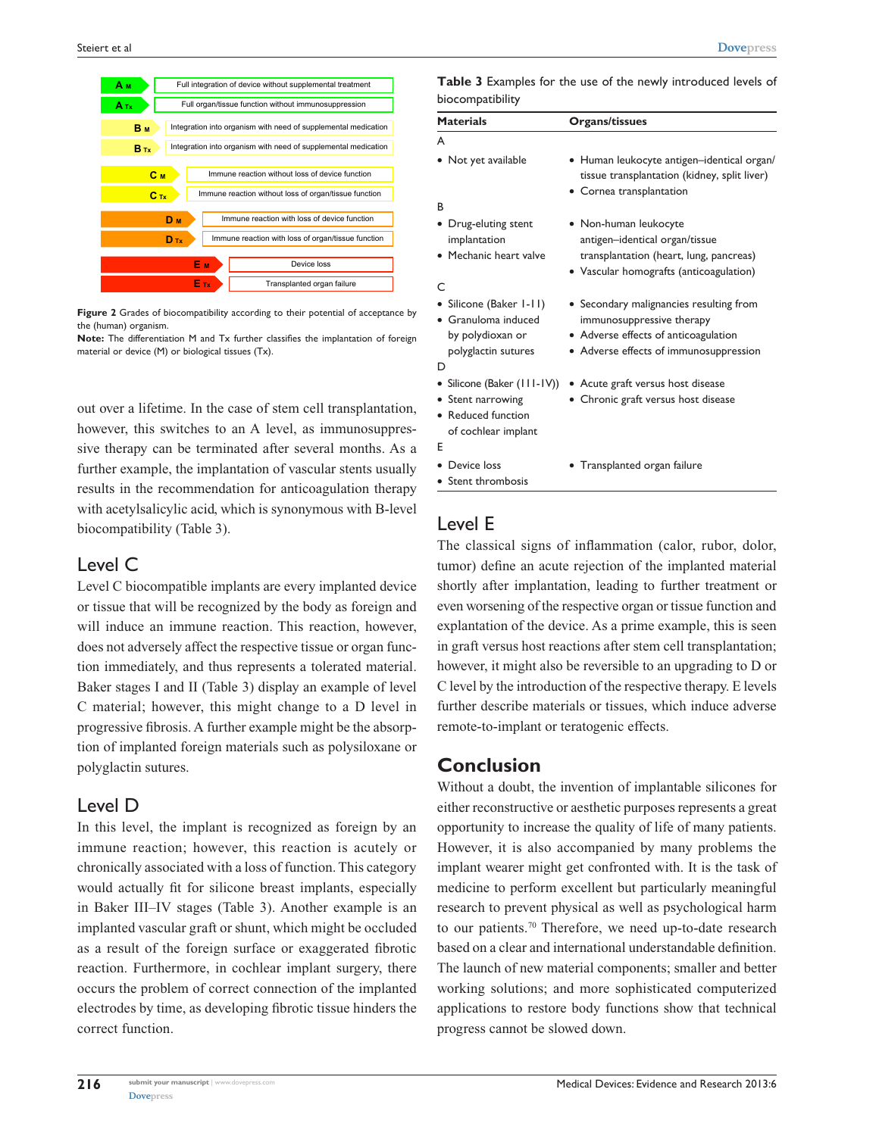

**Figure 2** Grades of biocompatibility according to their potential of acceptance by the (human) organism.

**Note:** The differentiation M and Tx further classifies the implantation of foreign material or device (M) or biological tissues (Tx).

out over a lifetime. In the case of stem cell transplantation, however, this switches to an A level, as immunosuppressive therapy can be terminated after several months. As a further example, the implantation of vascular stents usually results in the recommendation for anticoagulation therapy with acetylsalicylic acid, which is synonymous with B-level biocompatibility (Table 3).

#### Level C

Level C biocompatible implants are every implanted device or tissue that will be recognized by the body as foreign and will induce an immune reaction. This reaction, however, does not adversely affect the respective tissue or organ function immediately, and thus represents a tolerated material. Baker stages I and II (Table 3) display an example of level C material; however, this might change to a D level in progressive fibrosis. A further example might be the absorption of implanted foreign materials such as polysiloxane or polyglactin sutures.

## Level D

In this level, the implant is recognized as foreign by an immune reaction; however, this reaction is acutely or chronically associated with a loss of function. This category would actually fit for silicone breast implants, especially in Baker III–IV stages (Table 3). Another example is an implanted vascular graft or shunt, which might be occluded as a result of the foreign surface or exaggerated fibrotic reaction. Furthermore, in cochlear implant surgery, there occurs the problem of correct connection of the implanted electrodes by time, as developing fibrotic tissue hinders the correct function.

**Table 3** Examples for the use of the newly introduced levels of biocompatibility

| <b>Materials</b>                                                                               | Organs/tissues                                                                                                                                         |  |  |
|------------------------------------------------------------------------------------------------|--------------------------------------------------------------------------------------------------------------------------------------------------------|--|--|
| A                                                                                              |                                                                                                                                                        |  |  |
| • Not yet available                                                                            | • Human leukocyte antigen-identical organ/<br>tissue transplantation (kidney, split liver)<br>• Cornea transplantation                                 |  |  |
| B                                                                                              |                                                                                                                                                        |  |  |
| • Drug-eluting stent<br>implantation<br>• Mechanic heart valve                                 | • Non-human leukocyte<br>antigen-identical organ/tissue<br>transplantation (heart, lung, pancreas)<br>• Vascular homografts (anticoagulation)          |  |  |
| C                                                                                              |                                                                                                                                                        |  |  |
| · Silicone (Baker I-II)<br>• Granuloma induced<br>by polydioxan or<br>polyglactin sutures<br>D | • Secondary malignancies resulting from<br>immunosuppressive therapy<br>• Adverse effects of anticoagulation<br>• Adverse effects of immunosuppression |  |  |
| • Silicone (Baker (111-1V))                                                                    | • Acute graft versus host disease                                                                                                                      |  |  |
| • Stent narrowing<br>• Reduced function<br>of cochlear implant<br>F                            | Chronic graft versus host disease                                                                                                                      |  |  |
| Device loss<br>• Stent thrombosis                                                              | Transplanted organ failure                                                                                                                             |  |  |

# Level E

The classical signs of inflammation (calor, rubor, dolor, tumor) define an acute rejection of the implanted material shortly after implantation, leading to further treatment or even worsening of the respective organ or tissue function and explantation of the device. As a prime example, this is seen in graft versus host reactions after stem cell transplantation; however, it might also be reversible to an upgrading to D or C level by the introduction of the respective therapy. E levels further describe materials or tissues, which induce adverse remote-to-implant or teratogenic effects.

# **Conclusion**

Without a doubt, the invention of implantable silicones for either reconstructive or aesthetic purposes represents a great opportunity to increase the quality of life of many patients. However, it is also accompanied by many problems the implant wearer might get confronted with. It is the task of medicine to perform excellent but particularly meaningful research to prevent physical as well as psychological harm to our patients.70 Therefore, we need up-to-date research based on a clear and international understandable definition. The launch of new material components; smaller and better working solutions; and more sophisticated computerized applications to restore body functions show that technical progress cannot be slowed down.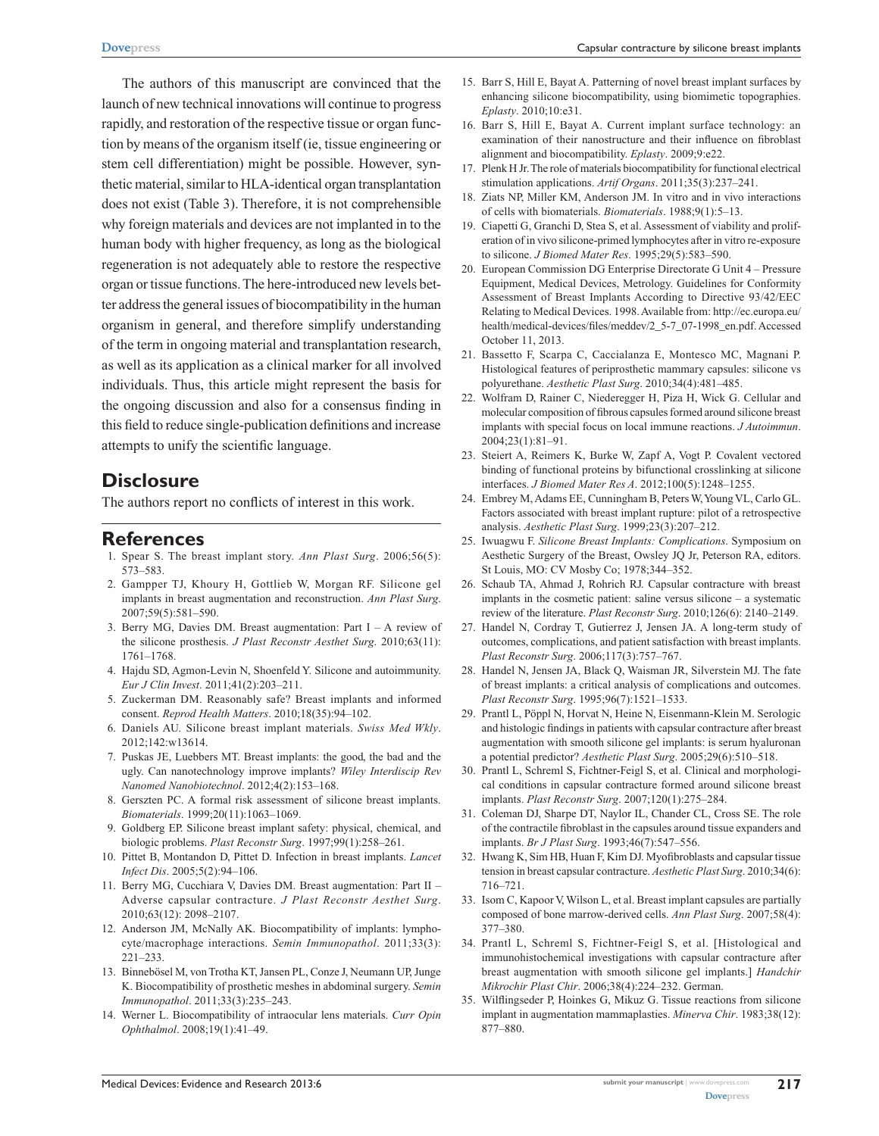The authors of this manuscript are convinced that the launch of new technical innovations will continue to progress rapidly, and restoration of the respective tissue or organ function by means of the organism itself (ie, tissue engineering or stem cell differentiation) might be possible. However, synthetic material, similar to HLA-identical organ transplantation does not exist (Table 3). Therefore, it is not comprehensible why foreign materials and devices are not implanted in to the human body with higher frequency, as long as the biological regeneration is not adequately able to restore the respective organ or tissue functions. The here-introduced new levels better address the general issues of biocompatibility in the human organism in general, and therefore simplify understanding of the term in ongoing material and transplantation research, as well as its application as a clinical marker for all involved individuals. Thus, this article might represent the basis for the ongoing discussion and also for a consensus finding in this field to reduce single-publication definitions and increase attempts to unify the scientific language.

## **Disclosure**

The authors report no conflicts of interest in this work.

#### **References**

- 1. Spear S. The breast implant story. *Ann Plast Surg*. 2006;56(5): 573–583.
- 2. Gampper TJ, Khoury H, Gottlieb W, Morgan RF. Silicone gel implants in breast augmentation and reconstruction. *Ann Plast Surg*. 2007;59(5):581–590.
- 3. Berry MG, Davies DM. Breast augmentation: Part I A review of the silicone prosthesis. *J Plast Reconstr Aesthet Surg*. 2010;63(11): 1761–1768.
- 4. Hajdu SD, Agmon-Levin N, Shoenfeld Y. Silicone and autoimmunity. *Eur J Clin Invest*. 2011;41(2):203–211.
- 5. Zuckerman DM. Reasonably safe? Breast implants and informed consent. *Reprod Health Matters*. 2010;18(35):94–102.
- 6. Daniels AU. Silicone breast implant materials. *Swiss Med Wkly*. 2012;142:w13614.
- 7. Puskas JE, Luebbers MT. Breast implants: the good, the bad and the ugly. Can nanotechnology improve implants? *Wiley Interdiscip Rev Nanomed Nanobiotechnol*. 2012;4(2):153–168.
- 8. Gerszten PC. A formal risk assessment of silicone breast implants. *Biomaterials*. 1999;20(11):1063–1069.
- 9. Goldberg EP. Silicone breast implant safety: physical, chemical, and biologic problems. *Plast Reconstr Surg*. 1997;99(1):258–261.
- 10. Pittet B, Montandon D, Pittet D. Infection in breast implants. *Lancet Infect Dis*. 2005;5(2):94–106.
- 11. Berry MG, Cucchiara V, Davies DM. Breast augmentation: Part II Adverse capsular contracture. *J Plast Reconstr Aesthet Surg*. 2010;63(12): 2098–2107.
- 12. Anderson JM, McNally AK. Biocompatibility of implants: lymphocyte/macrophage interactions. *Semin Immunopathol*. 2011;33(3): 221–233.
- 13. Binnebösel M, von Trotha KT, Jansen PL, Conze J, Neumann UP, Junge K. Biocompatibility of prosthetic meshes in abdominal surgery. *Semin Immunopathol*. 2011;33(3):235–243.
- 14. Werner L. Biocompatibility of intraocular lens materials. *Curr Opin Ophthalmol*. 2008;19(1):41–49.
- 15. Barr S, Hill E, Bayat A. Patterning of novel breast implant surfaces by enhancing silicone biocompatibility, using biomimetic topographies. *Eplasty*. 2010;10:e31.
- 16. Barr S, Hill E, Bayat A. Current implant surface technology: an examination of their nanostructure and their influence on fibroblast alignment and biocompatibility. *Eplasty*. 2009;9:e22.
- 17. Plenk H Jr. The role of materials biocompatibility for functional electrical stimulation applications. *Artif Organs*. 2011;35(3):237–241.
- 18. Ziats NP, Miller KM, Anderson JM. In vitro and in vivo interactions of cells with biomaterials. *Biomaterials*. 1988;9(1):5–13.
- 19. Ciapetti G, Granchi D, Stea S, et al. Assessment of viability and proliferation of in vivo silicone-primed lymphocytes after in vitro re-exposure to silicone. *J Biomed Mater Res*. 1995;29(5):583–590.
- 20. European Commission DG Enterprise Directorate G Unit 4 Pressure Equipment, Medical Devices, Metrology. Guidelines for Conformity Assessment of Breast Implants According to Directive 93/42/EEC Relating to Medical Devices. 1998. Available from: [http://ec.europa.eu/](http://ec.europa.eu/health/medical-devices/files/meddev/2_5-7_07-1998_en.pdf) [health/medical-devices/files/meddev/2\\_5-7\\_07-1998\\_en.pdf](http://ec.europa.eu/health/medical-devices/files/meddev/2_5-7_07-1998_en.pdf). Accessed October 11, 2013.
- 21. Bassetto F, Scarpa C, Caccialanza E, Montesco MC, Magnani P. Histological features of periprosthetic mammary capsules: silicone vs polyurethane. *Aesthetic Plast Surg*. 2010;34(4):481–485.
- 22. Wolfram D, Rainer C, Niederegger H, Piza H, Wick G. Cellular and molecular composition of fibrous capsules formed around silicone breast implants with special focus on local immune reactions. *J Autoimmun*. 2004;23(1):81–91.
- 23. Steiert A, Reimers K, Burke W, Zapf A, Vogt P. Covalent vectored binding of functional proteins by bifunctional crosslinking at silicone interfaces. *J Biomed Mater Res A*. 2012;100(5):1248–1255.
- 24. Embrey M, Adams EE, Cunningham B, Peters W, Young VL, Carlo GL. Factors associated with breast implant rupture: pilot of a retrospective analysis. *Aesthetic Plast Surg*. 1999;23(3):207–212.
- 25. Iwuagwu F. *Silicone Breast Implants: Complications*. Symposium on Aesthetic Surgery of the Breast, Owsley JQ Jr, Peterson RA, editors. St Louis, MO: CV Mosby Co; 1978;344–352.
- 26. Schaub TA, Ahmad J, Rohrich RJ. Capsular contracture with breast implants in the cosmetic patient: saline versus silicone – a systematic review of the literature. *Plast Reconstr Surg*. 2010;126(6): 2140–2149.
- 27. Handel N, Cordray T, Gutierrez J, Jensen JA. A long-term study of outcomes, complications, and patient satisfaction with breast implants. *Plast Reconstr Surg*. 2006;117(3):757–767.
- 28. Handel N, Jensen JA, Black Q, Waisman JR, Silverstein MJ. The fate of breast implants: a critical analysis of complications and outcomes. *Plast Reconstr Surg*. 1995;96(7):1521–1533.
- 29. Prantl L, Pöppl N, Horvat N, Heine N, Eisenmann-Klein M. Serologic and histologic findings in patients with capsular contracture after breast augmentation with smooth silicone gel implants: is serum hyaluronan a potential predictor? *Aesthetic Plast Surg*. 2005;29(6):510–518.
- 30. Prantl L, Schreml S, Fichtner-Feigl S, et al. Clinical and morphological conditions in capsular contracture formed around silicone breast implants. *Plast Reconstr Surg*. 2007;120(1):275–284.
- 31. Coleman DJ, Sharpe DT, Naylor IL, Chander CL, Cross SE. The role of the contractile fibroblast in the capsules around tissue expanders and implants. *Br J Plast Surg*. 1993;46(7):547–556.
- 32. Hwang K, Sim HB, Huan F, Kim DJ. Myofibroblasts and capsular tissue tension in breast capsular contracture. *Aesthetic Plast Surg*. 2010;34(6): 716–721.
- 33. Isom C, Kapoor V, Wilson L, et al. Breast implant capsules are partially composed of bone marrow-derived cells. *Ann Plast Surg*. 2007;58(4): 377–380.
- 34. Prantl L, Schreml S, Fichtner-Feigl S, et al. [Histological and immunohistochemical investigations with capsular contracture after breast augmentation with smooth silicone gel implants.] *Handchir Mikrochir Plast Chir*. 2006;38(4):224–232. German.
- 35. Wilflingseder P, Hoinkes G, Mikuz G. Tissue reactions from silicone implant in augmentation mammaplasties. *Minerva Chir*. 1983;38(12): 877–880.